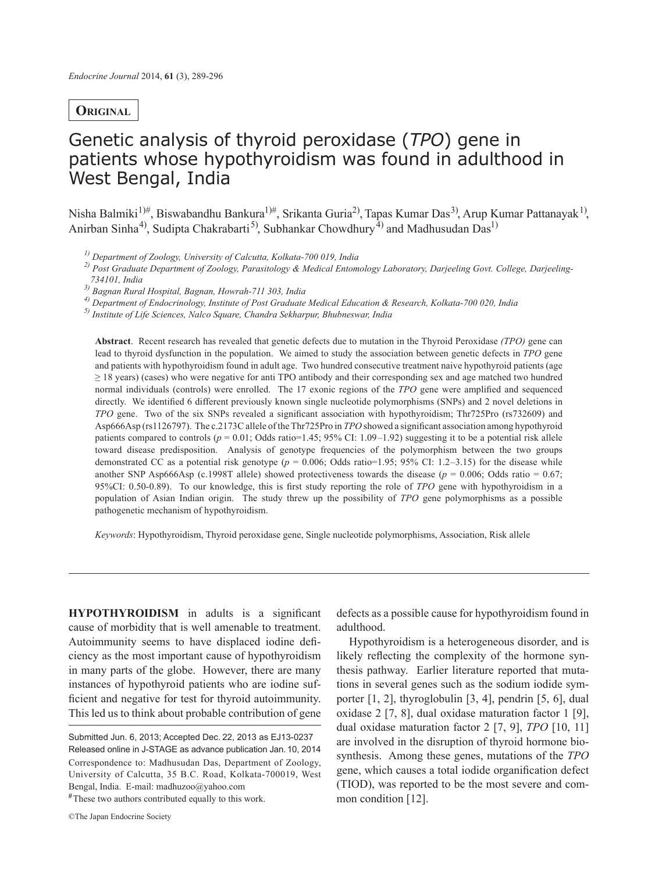# **Original**

# Genetic analysis of thyroid peroxidase (*TPO*) gene in patients whose hypothyroidism was found in adulthood in West Bengal, India

Nisha Balmiki<sup>1)#</sup>, Biswabandhu Bankura<sup>1)#</sup>, Srikanta Guria<sup>2)</sup>, Tapas Kumar Das<sup>3)</sup>, Arup Kumar Pattanayak<sup>1)</sup>, Anirban Sinha<sup>4)</sup>, Sudipta Chakrabarti<sup>5)</sup>, Subhankar Chowdhury<sup>4)</sup> and Madhusudan Das<sup>1)</sup>

*1) Department of Zoology, University of Calcutta, Kolkata-700 019, India* 

*2) Post Graduate Department of Zoology, Parasitology & Medical Entomology Laboratory, Darjeeling Govt. College, Darjeeling-734101, India*

*3) Bagnan Rural Hospital, Bagnan, Howrah-711 303, India*

*4) Department of Endocrinology, Institute of Post Graduate Medical Education & Research, Kolkata-700 020, India*

*5) Institute of Life Sciences, Nalco Square, Chandra Sekharpur, Bhubneswar, India*

**Abstract**. Recent research has revealed that genetic defects due to mutation in the Thyroid Peroxidase *(TPO)* gene can lead to thyroid dysfunction in the population. We aimed to study the association between genetic defects in *TPO* gene and patients with hypothyroidism found in adult age. Two hundred consecutive treatment naive hypothyroid patients (age  $\geq$  18 years) (cases) who were negative for anti TPO antibody and their corresponding sex and age matched two hundred normal individuals (controls) were enrolled. The 17 exonic regions of the *TPO* gene were amplified and sequenced directly. We identified 6 different previously known single nucleotide polymorphisms (SNPs) and 2 novel deletions in *TPO* gene. Two of the six SNPs revealed a significant association with hypothyroidism; Thr725Pro (rs732609) and Asp666Asp (rs1126797). The c.2173C allele of the Thr725Pro in *TPO* showed a significant association among hypothyroid patients compared to controls ( $p = 0.01$ ; Odds ratio=1.45; 95% CI: 1.09–1.92) suggesting it to be a potential risk allele toward disease predisposition. Analysis of genotype frequencies of the polymorphism between the two groups demonstrated CC as a potential risk genotype  $(p = 0.006; \text{Odds ratio} = 1.95; 95\% \text{ CI: } 1.2-3.15)$  for the disease while another SNP Asp666Asp (c.1998T allele) showed protectiveness towards the disease ( $p = 0.006$ ; Odds ratio = 0.67; 95%CI: 0.50-0.89). To our knowledge, this is first study reporting the role of *TPO* gene with hypothyroidism in a population of Asian Indian origin. The study threw up the possibility of *TPO* gene polymorphisms as a possible pathogenetic mechanism of hypothyroidism.

*Keywords*: Hypothyroidism, Thyroid peroxidase gene, Single nucleotide polymorphisms, Association, Risk allele

**HYPOTHYROIDISM** in adults is a significant cause of morbidity that is well amenable to treatment. Autoimmunity seems to have displaced iodine deficiency as the most important cause of hypothyroidism in many parts of the globe. However, there are many instances of hypothyroid patients who are iodine sufficient and negative for test for thyroid autoimmunity. This led us to think about probable contribution of gene

**#** These two authors contributed equally to this work.

defects as a possible cause for hypothyroidism found in adulthood.

Hypothyroidism is a heterogeneous disorder, and is likely reflecting the complexity of the hormone synthesis pathway. Earlier literature reported that mutations in several genes such as the sodium iodide symporter [1, 2], thyroglobulin [3, 4], pendrin [5, 6], dual oxidase 2 [7, 8], dual oxidase maturation factor 1 [9], dual oxidase maturation factor 2 [7, 9], *TPO* [10, 11] are involved in the disruption of thyroid hormone biosynthesis. Among these genes, mutations of the *TPO* gene, which causes a total iodide organification defect (TIOD), was reported to be the most severe and common condition [12].

Submitted Jun. 6, 2013; Accepted Dec. 22, 2013 as EJ13-0237 Released online in J-STAGE as advance publication Jan. 10, 2014 Correspondence to: Madhusudan Das, Department of Zoology, University of Calcutta, 35 B.C. Road, Kolkata-700019, West Bengal, India. E-mail: madhuzoo@yahoo.com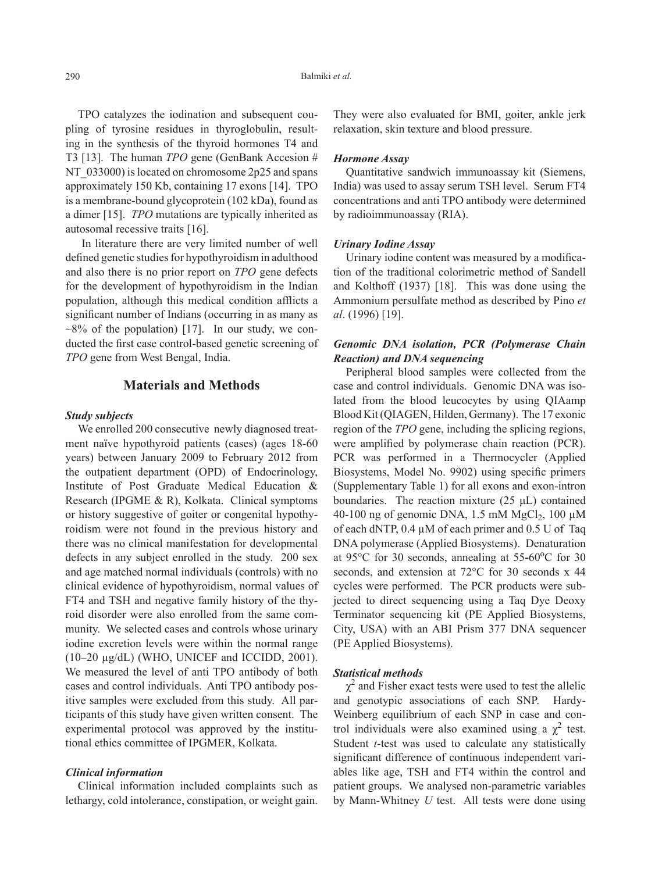TPO catalyzes the iodination and subsequent coupling of tyrosine residues in thyroglobulin, resulting in the synthesis of the thyroid hormones T4 and T3 [13]. The human *TPO* gene (GenBank Accesion # NT 033000) is located on chromosome 2p25 and spans approximately 150 Kb, containing 17 exons [14]. TPO is a membrane-bound glycoprotein (102 kDa), found as a dimer [15]. *TPO* mutations are typically inherited as autosomal recessive traits [16].

 In literature there are very limited number of well defined genetic studies for hypothyroidism in adulthood and also there is no prior report on *TPO* gene defects for the development of hypothyroidism in the Indian population, although this medical condition afflicts a significant number of Indians (occurring in as many as  $\sim$ 8% of the population) [17]. In our study, we conducted the first case control-based genetic screening of *TPO* gene from West Bengal, India.

# **Materials and Methods**

#### *Study subjects*

We enrolled 200 consecutive newly diagnosed treatment naïve hypothyroid patients (cases) (ages 18-60 years) between January 2009 to February 2012 from the outpatient department (OPD) of Endocrinology, Institute of Post Graduate Medical Education & Research (IPGME & R), Kolkata. Clinical symptoms or history suggestive of goiter or congenital hypothyroidism were not found in the previous history and there was no clinical manifestation for developmental defects in any subject enrolled in the study. 200 sex and age matched normal individuals (controls) with no clinical evidence of hypothyroidism, normal values of FT4 and TSH and negative family history of the thyroid disorder were also enrolled from the same community. We selected cases and controls whose urinary iodine excretion levels were within the normal range (10–20 µg/dL) (WHO, UNICEF and ICCIDD, 2001). We measured the level of anti TPO antibody of both cases and control individuals. Anti TPO antibody positive samples were excluded from this study. All participants of this study have given written consent. The experimental protocol was approved by the institutional ethics committee of IPGMER, Kolkata.

### *Clinical information*

Clinical information included complaints such as lethargy, cold intolerance, constipation, or weight gain.

They were also evaluated for BMI, goiter, ankle jerk relaxation, skin texture and blood pressure.

#### *Hormone Assay*

Quantitative sandwich immunoassay kit (Siemens, India) was used to assay serum TSH level. Serum FT4 concentrations and anti TPO antibody were determined by radioimmunoassay (RIA).

#### *Urinary Iodine Assay*

Urinary iodine content was measured by a modification of the traditional colorimetric method of Sandell and Kolthoff (1937) [18]. This was done using the Ammonium persulfate method as described by Pino *et al*. (1996) [19].

## *Genomic DNA isolation, PCR (Polymerase Chain Reaction) and DNA sequencing*

Peripheral blood samples were collected from the case and control individuals. Genomic DNA was isolated from the blood leucocytes by using QIAamp Blood Kit (QIAGEN, Hilden, Germany). The 17 exonic region of the *TPO* gene, including the splicing regions, were amplified by polymerase chain reaction (PCR). PCR was performed in a Thermocycler (Applied Biosystems, Model No. 9902) using specific primers (Supplementary Table 1) for all exons and exon-intron boundaries. The reaction mixture  $(25 \mu L)$  contained 40-100 ng of genomic DNA,  $1.5$  mM MgCl<sub>2</sub>, 100  $\mu$ M of each dNTP, 0.4 µM of each primer and 0.5 U of Taq DNA polymerase (Applied Biosystems). Denaturation at 95°C for 30 seconds, annealing at 55-60°C for 30 seconds, and extension at 72°C for 30 seconds x 44 cycles were performed. The PCR products were subjected to direct sequencing using a Taq Dye Deoxy Terminator sequencing kit (PE Applied Biosystems, City, USA) with an ABI Prism 377 DNA sequencer (PE Applied Biosystems).

#### *Statistical methods*

 $\chi^2$  and Fisher exact tests were used to test the allelic and genotypic associations of each SNP. Hardy-Weinberg equilibrium of each SNP in case and control individuals were also examined using a  $\chi^2$  test. Student *t*-test was used to calculate any statistically significant difference of continuous independent variables like age, TSH and FT4 within the control and patient groups. We analysed non-parametric variables by Mann-Whitney *U* test. All tests were done using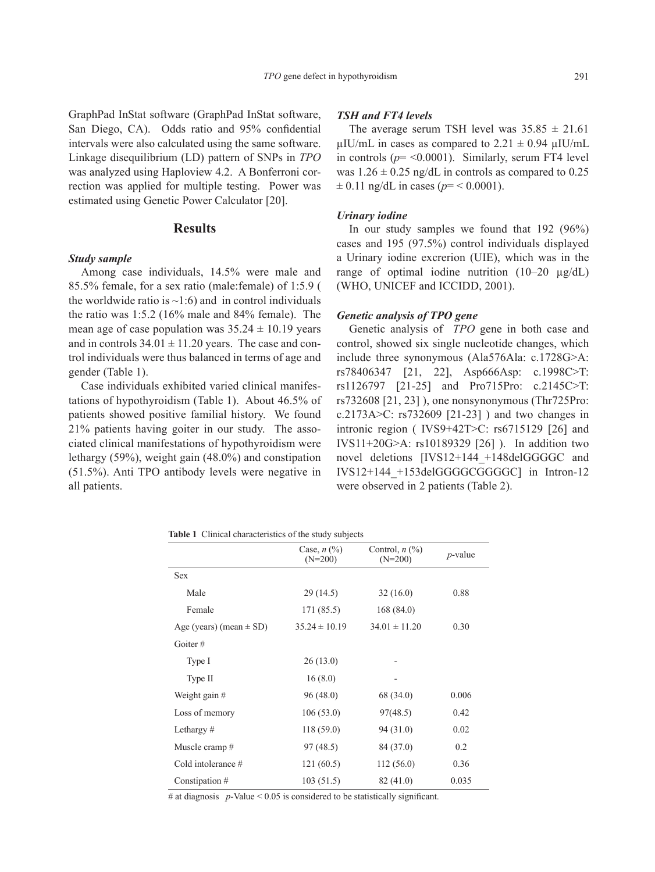GraphPad InStat software (GraphPad InStat software, San Diego, CA). Odds ratio and 95% confidential intervals were also calculated using the same software. Linkage disequilibrium (LD) pattern of SNPs in *TPO* was analyzed using Haploview 4.2. A Bonferroni correction was applied for multiple testing. Power was estimated using Genetic Power Calculator [20].

## **Results**

## *Study sample*

Among case individuals, 14.5% were male and 85.5% female, for a sex ratio (male:female) of 1:5.9 ( the worldwide ratio is  $\sim$ 1:6) and in control individuals the ratio was 1:5.2 (16% male and 84% female). The mean age of case population was  $35.24 \pm 10.19$  years and in controls  $34.01 \pm 11.20$  years. The case and control individuals were thus balanced in terms of age and gender (Table 1).

Case individuals exhibited varied clinical manifestations of hypothyroidism (Table 1). About 46.5% of patients showed positive familial history. We found 21% patients having goiter in our study. The associated clinical manifestations of hypothyroidism were lethargy (59%), weight gain (48.0%) and constipation (51.5%). Anti TPO antibody levels were negative in all patients.

#### *TSH and FT4 levels*

The average serum TSH level was  $35.85 \pm 21.61$  $\mu$ IU/mL in cases as compared to 2.21  $\pm$  0.94  $\mu$ IU/mL in controls  $(p = 0.0001)$ . Similarly, serum FT4 level was  $1.26 \pm 0.25$  ng/dL in controls as compared to 0.25  $\pm$  0.11 ng/dL in cases ( $p$ = < 0.0001).

### *Urinary iodine*

In our study samples we found that 192 (96%) cases and 195 (97.5%) control individuals displayed a Urinary iodine excrerion (UIE), which was in the range of optimal iodine nutrition (10–20 µg/dL) (WHO, UNICEF and ICCIDD, 2001).

## *Genetic analysis of TPO gene*

Genetic analysis of *TPO* gene in both case and control, showed six single nucleotide changes, which include three synonymous (Ala576Ala: c.1728G>A: rs78406347 [21, 22], Asp666Asp: c.1998C>T: rs1126797 [21-25] and Pro715Pro: c.2145C>T: rs732608 [21, 23] ), one nonsynonymous (Thr725Pro: c.2173A>C: rs732609 [21-23] ) and two changes in intronic region ( IVS9+42T>C: rs6715129 [26] and IVS11+20G>A: rs10189329 [26] ). In addition two novel deletions [IVS12+144 +148delGGGGC and IVS12+144\_+153delGGGGCGGGGC] in Intron-12 were observed in 2 patients (Table 2).

**Table 1** Clinical characteristics of the study subjects

|                             | Case, $n$ $\left(\frac{9}{0}\right)$<br>$(N=200)$ | Control, $n$ $(\%)$<br>$(N=200)$ | $p$ -value |
|-----------------------------|---------------------------------------------------|----------------------------------|------------|
| <b>Sex</b>                  |                                                   |                                  |            |
| Male                        | 29 (14.5)                                         | 32(16.0)                         | 0.88       |
| Female                      | 171 (85.5)                                        | 168(84.0)                        |            |
| Age (years) (mean $\pm$ SD) | $35.24 \pm 10.19$                                 | $34.01 \pm 11.20$                | 0.30       |
| Goiter $#$                  |                                                   |                                  |            |
| Type I                      | 26(13.0)                                          |                                  |            |
| Type II                     | 16(8.0)                                           |                                  |            |
| Weight gain #               | 96(48.0)                                          | 68 (34.0)                        | 0.006      |
| Loss of memory              | 106(53.0)                                         | 97(48.5)                         | 0.42       |
| Lethargy $#$                | 118 (59.0)                                        | 94(31.0)                         | 0.02       |
| Muscle cramp #              | 97(48.5)                                          | 84 (37.0)                        | 0.2        |
| Cold intolerance $#$        | 121 (60.5)                                        | 112(56.0)                        | 0.36       |
| Constipation #              | 103 (51.5)                                        | 82(41.0)                         | 0.035      |

# at diagnosis  $p$ -Value < 0.05 is considered to be statistically significant.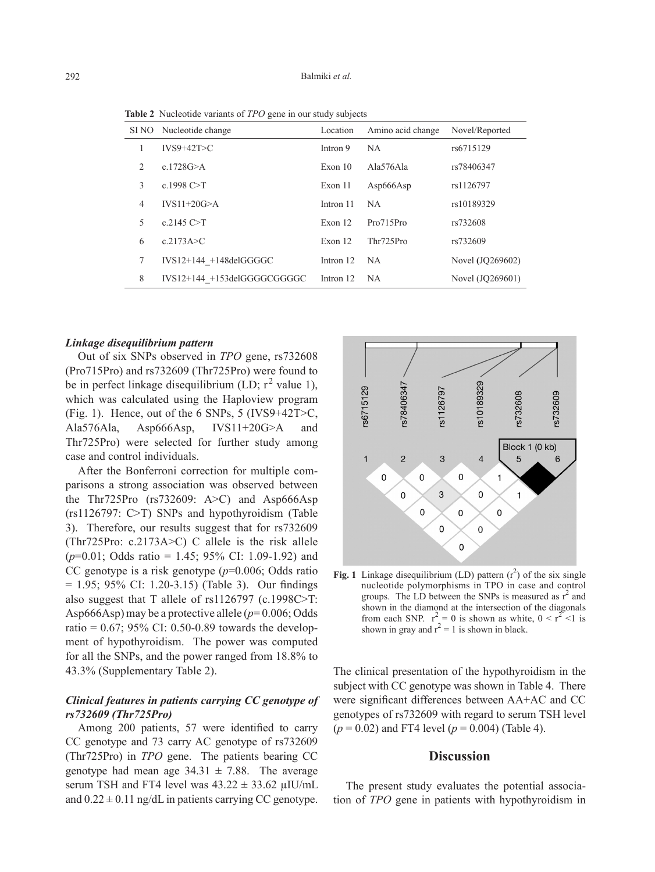**Table 2** Nucleotide variants of *TPO* gene in our study subjects

| SI NO          | Nucleotide change           | Location  | Amino acid change | Novel/Reported   |
|----------------|-----------------------------|-----------|-------------------|------------------|
|                | $IVS9+42T>C$                | Intron 9  | <b>NA</b>         | rs6715129        |
| $\overline{c}$ | c.1728 $G > A$              | Exon $10$ | Ala576Ala         | rs78406347       |
| 3              | c.1998 $C > T$              | Exon 11   | Asp666Asp         | rs1126797        |
| 4              | $IVS11+20G>A$               | Intron 11 | NA.               | rs10189329       |
| 5              | c.2145 $C > T$              | Exon $12$ | Pro715Pro         | rs732608         |
| 6              | c.2173A > C                 | Exon $12$ | Thr725Pro         | rs732609         |
| 7              | $IVS12+144 +148$ delGGGGC   | Intron 12 | <b>NA</b>         | Novel (JQ269602) |
| 8              | IVS12+144 +153delGGGGCGGGGC | Intron 12 | NA.               | Novel (JQ269601) |

#### *Linkage disequilibrium pattern*

Out of six SNPs observed in *TPO* gene, rs732608 (Pro715Pro) and rs732609 (Thr725Pro) were found to be in perfect linkage disequilibrium (LD;  $r^2$  value 1), which was calculated using the Haploview program (Fig. 1). Hence, out of the 6 SNPs, 5 (IVS9+42T>C, Ala576Ala, Asp666Asp, IVS11+20G>A and Thr725Pro) were selected for further study among case and control individuals.

After the Bonferroni correction for multiple comparisons a strong association was observed between the Thr725Pro (rs732609: A>C) and Asp666Asp (rs1126797: C>T) SNPs and hypothyroidism (Table 3). Therefore, our results suggest that for rs732609 (Thr725Pro: c.2173A>C) C allele is the risk allele (*p*=0.01; Odds ratio = 1.45; 95% CI: 1.09-1.92) and CC genotype is a risk genotype (*p*=0.006; Odds ratio  $= 1.95$ ; 95% CI: 1.20-3.15) (Table 3). Our findings also suggest that T allele of rs1126797 (c.1998C>T: Asp666Asp) may be a protective allele (*p*= 0.006; Odds ratio =  $0.67$ ; 95% CI: 0.50-0.89 towards the development of hypothyroidism. The power was computed for all the SNPs, and the power ranged from 18.8% to 43.3% (Supplementary Table 2).

# *Clinical features in patients carrying CC genotype of rs732609 (Thr725Pro)*

Among 200 patients, 57 were identified to carry CC genotype and 73 carry AC genotype of rs732609 (Thr725Pro) in *TPO* gene. The patients bearing CC genotype had mean age  $34.31 \pm 7.88$ . The average serum TSH and FT4 level was  $43.22 \pm 33.62$  µIU/mL and  $0.22 \pm 0.11$  ng/dL in patients carrying CC genotype.



**Fig. 1** Linkage disequilibrium (LD) pattern  $(r^2)$  of the six single nucleotide polymorphisms in TPO in case and control groups. The LD between the SNPs is measured as  $r^2$  and shown in the diamond at the intersection of the diagonals from each SNP.  $r^2 = 0$  is shown as white,  $0 \lt r^2 \lt 1$  is shown in gray and  $r^2 = 1$  is shown in black.

The clinical presentation of the hypothyroidism in the subject with CC genotype was shown in Table 4. There were significant differences between AA+AC and CC genotypes of rs732609 with regard to serum TSH level  $(p = 0.02)$  and FT4 level  $(p = 0.004)$  (Table 4).

## **Discussion**

The present study evaluates the potential association of *TPO* gene in patients with hypothyroidism in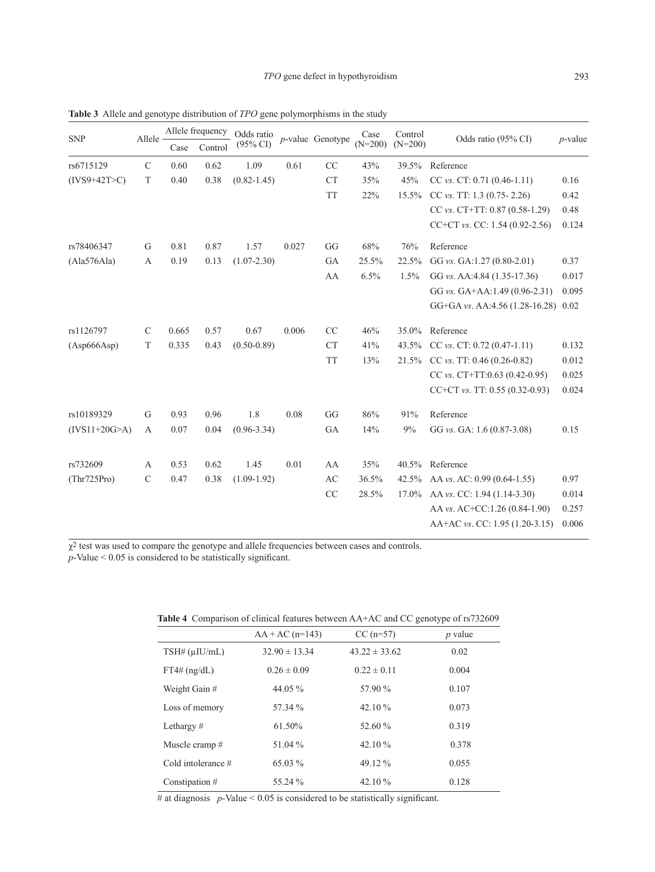| <b>SNP</b>      | Allele -       | Allele frequency |         | Odds ratio          |       | $p$ -value Genotype | Case      | Control   | Odds ratio (95% CI)                 | $p$ -value |
|-----------------|----------------|------------------|---------|---------------------|-------|---------------------|-----------|-----------|-------------------------------------|------------|
|                 |                | Case             | Control | $(95\% \text{ CI})$ |       |                     | $(N=200)$ | $(N=200)$ |                                     |            |
| rs6715129       | $\mathbf C$    | 0.60             | 0.62    | 1.09                | 0.61  | CC                  | 43%       | 39.5%     | Reference                           |            |
| $(IVS9+42T>C)$  | T              | 0.40             | 0.38    | $(0.82 - 1.45)$     |       | <b>CT</b>           | 35%       | 45%       | CC vs. CT: 0.71 $(0.46-1.11)$       | 0.16       |
|                 |                |                  |         |                     |       | <b>TT</b>           | 22%       | 15.5%     | CC vs. TT: $1.3$ (0.75-2.26)        | 0.42       |
|                 |                |                  |         |                     |       |                     |           |           | CC vs. CT+TT: 0.87 (0.58-1.29)      | 0.48       |
|                 |                |                  |         |                     |       |                     |           |           | CC+CT vs. CC: 1.54 (0.92-2.56)      | 0.124      |
| rs78406347      | G              | 0.81             | 0.87    | 1.57                | 0.027 | GG                  | 68%       | 76%       | Reference                           |            |
| (Ala576Ala)     | $\overline{A}$ | 0.19             | 0.13    | $(1.07 - 2.30)$     |       | GA                  | 25.5%     | 22.5%     | GG vs. GA:1.27 (0.80-2.01)          | 0.37       |
|                 |                |                  |         |                     |       | AA                  | 6.5%      | 1.5%      | GG vs. AA:4.84 (1.35-17.36)         | 0.017      |
|                 |                |                  |         |                     |       |                     |           |           | GG vs. GA+AA:1.49 (0.96-2.31)       | 0.095      |
|                 |                |                  |         |                     |       |                     |           |           | GG+GA vs. AA:4.56 (1.28-16.28) 0.02 |            |
| rs1126797       | $\mathcal{C}$  | 0.665            | 0.57    | 0.67                | 0.006 | CC                  | 46%       | 35.0%     | Reference                           |            |
| (Asp666Asp)     | $\mathbf T$    | 0.335            | 0.43    | $(0.50 - 0.89)$     |       | <b>CT</b>           | 41%       | 43.5%     | CC $vs.$ CT: 0.72 (0.47-1.11)       | 0.132      |
|                 |                |                  |         |                     |       | <b>TT</b>           | 13%       |           | 21.5% CC vs. TT: 0.46 (0.26-0.82)   | 0.012      |
|                 |                |                  |         |                     |       |                     |           |           | CC $vs.$ CT+TT:0.63 (0.42-0.95)     | 0.025      |
|                 |                |                  |         |                     |       |                     |           |           | CC+CT vs. TT: $0.55$ (0.32-0.93)    | 0.024      |
| rs10189329      | G              | 0.93             | 0.96    | 1.8                 | 0.08  | GG                  | 86%       | 91%       | Reference                           |            |
| $(IVS11+20G>A)$ | A              | 0.07             | 0.04    | $(0.96 - 3.34)$     |       | GA                  | 14%       | 9%        | GG vs. GA: 1.6 (0.87-3.08)          | 0.15       |
| rs732609        | $\mathbf{A}$   | 0.53             | 0.62    | 1.45                | 0.01  | AA                  | 35%       |           | 40.5% Reference                     |            |
| (Thr725Pro)     | $\mathcal{C}$  | 0.47             | 0.38    | $(1.09-1.92)$       |       | AC                  | 36.5%     |           | 42.5% AA vs. AC: 0.99 (0.64-1.55)   | 0.97       |
|                 |                |                  |         |                     |       | CC                  | 28.5%     | 17.0%     | AA vs. CC: 1.94 (1.14-3.30)         | 0.014      |
|                 |                |                  |         |                     |       |                     |           |           | AA vs. AC+CC:1.26 (0.84-1.90)       | 0.257      |
|                 |                |                  |         |                     |       |                     |           |           | AA+AC vs. CC: 1.95 (1.20-3.15)      | 0.006      |
|                 |                |                  |         |                     |       |                     |           |           |                                     |            |

**Table 3** Allele and genotype distribution of *TPO* gene polymorphisms in the study

 $\chi^2$  test was used to compare the genotype and allele frequencies between cases and controls.  $p$ -Value  $\leq 0.05$  is considered to be statistically significant.

|                      | $AA + AC (n=143)$ | $CC(n=57)$        | $p$ value |
|----------------------|-------------------|-------------------|-----------|
| $TSH\#(\mu I U/mL)$  | $32.90 \pm 13.34$ | $43.22 \pm 33.62$ | 0.02      |
| $FT4\# (ng/dL)$      | $0.26 \pm 0.09$   | $0.22 \pm 0.11$   | 0.004     |
| Weight Gain #        | 44.05 %           | 57.90 %           | 0.107     |
| Loss of memory       | 57.34 %           | 42.10 $\%$        | 0.073     |
| Lethargy $#$         | 61.50%            | 52.60 %           | 0.319     |
| Muscle cramp#        | 51.04 %           | 42.10 %           | 0.378     |
| Cold intolerance $#$ | 65.03 %           | 49.12 %           | 0.055     |
| Constipation #       | 55.24 %           | 42.10 %           | 0.128     |

**Table 4** Comparison of clinical features between AA+AC and CC genotype of rs732609

# at diagnosis  $p$ -Value < 0.05 is considered to be statistically significant.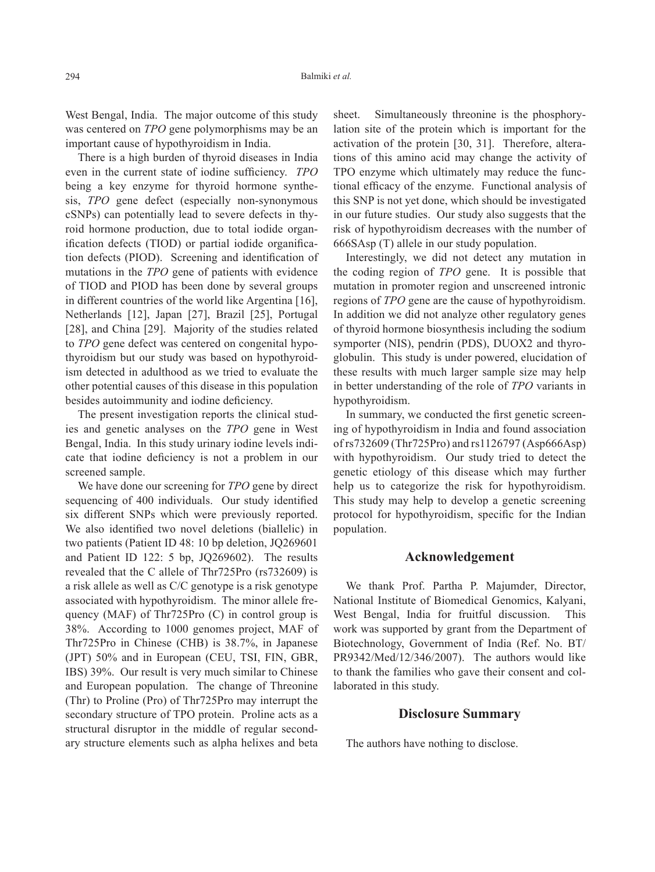West Bengal, India. The major outcome of this study was centered on *TPO* gene polymorphisms may be an important cause of hypothyroidism in India.

There is a high burden of thyroid diseases in India even in the current state of iodine sufficiency. *TPO* being a key enzyme for thyroid hormone synthesis, *TPO* gene defect (especially non-synonymous cSNPs) can potentially lead to severe defects in thyroid hormone production, due to total iodide organification defects (TIOD) or partial iodide organification defects (PIOD). Screening and identification of mutations in the *TPO* gene of patients with evidence of TIOD and PIOD has been done by several groups in different countries of the world like Argentina [16], Netherlands [12], Japan [27], Brazil [25], Portugal [28], and China [29]. Majority of the studies related to *TPO* gene defect was centered on congenital hypothyroidism but our study was based on hypothyroidism detected in adulthood as we tried to evaluate the other potential causes of this disease in this population besides autoimmunity and iodine deficiency.

The present investigation reports the clinical studies and genetic analyses on the *TPO* gene in West Bengal, India. In this study urinary iodine levels indicate that iodine deficiency is not a problem in our screened sample.

We have done our screening for *TPO* gene by direct sequencing of 400 individuals. Our study identified six different SNPs which were previously reported. We also identified two novel deletions (biallelic) in two patients (Patient ID 48: 10 bp deletion, JQ269601 and Patient ID 122: 5 bp, JQ269602). The results revealed that the C allele of Thr725Pro (rs732609) is a risk allele as well as C/C genotype is a risk genotype associated with hypothyroidism. The minor allele frequency (MAF) of Thr725Pro (C) in control group is 38%. According to 1000 genomes project, MAF of Thr725Pro in Chinese (CHB) is 38.7%, in Japanese (JPT) 50% and in European (CEU, TSI, FIN, GBR, IBS) 39%. Our result is very much similar to Chinese and European population. The change of Threonine (Thr) to Proline (Pro) of Thr725Pro may interrupt the secondary structure of TPO protein. Proline acts as a structural disruptor in the middle of regular secondary structure elements such as alpha helixes and beta sheet. Simultaneously threonine is the phosphorylation site of the protein which is important for the activation of the protein [30, 31]. Therefore, alterations of this amino acid may change the activity of TPO enzyme which ultimately may reduce the functional efficacy of the enzyme. Functional analysis of this SNP is not yet done, which should be investigated in our future studies. Our study also suggests that the risk of hypothyroidism decreases with the number of 666SAsp (T) allele in our study population.

Interestingly, we did not detect any mutation in the coding region of *TPO* gene. It is possible that mutation in promoter region and unscreened intronic regions of *TPO* gene are the cause of hypothyroidism. In addition we did not analyze other regulatory genes of thyroid hormone biosynthesis including the sodium symporter (NIS), pendrin (PDS), DUOX2 and thyroglobulin. This study is under powered, elucidation of these results with much larger sample size may help in better understanding of the role of *TPO* variants in hypothyroidism.

In summary, we conducted the first genetic screening of hypothyroidism in India and found association of rs732609 (Thr725Pro) and rs1126797 (Asp666Asp) with hypothyroidism. Our study tried to detect the genetic etiology of this disease which may further help us to categorize the risk for hypothyroidism. This study may help to develop a genetic screening protocol for hypothyroidism, specific for the Indian population.

## **Acknowledgement**

We thank Prof. Partha P. Majumder, Director, National Institute of Biomedical Genomics, Kalyani, West Bengal, India for fruitful discussion. This work was supported by grant from the Department of Biotechnology, Government of India (Ref. No. BT/ PR9342/Med/12/346/2007). The authors would like to thank the families who gave their consent and collaborated in this study.

#### **Disclosure Summary**

The authors have nothing to disclose.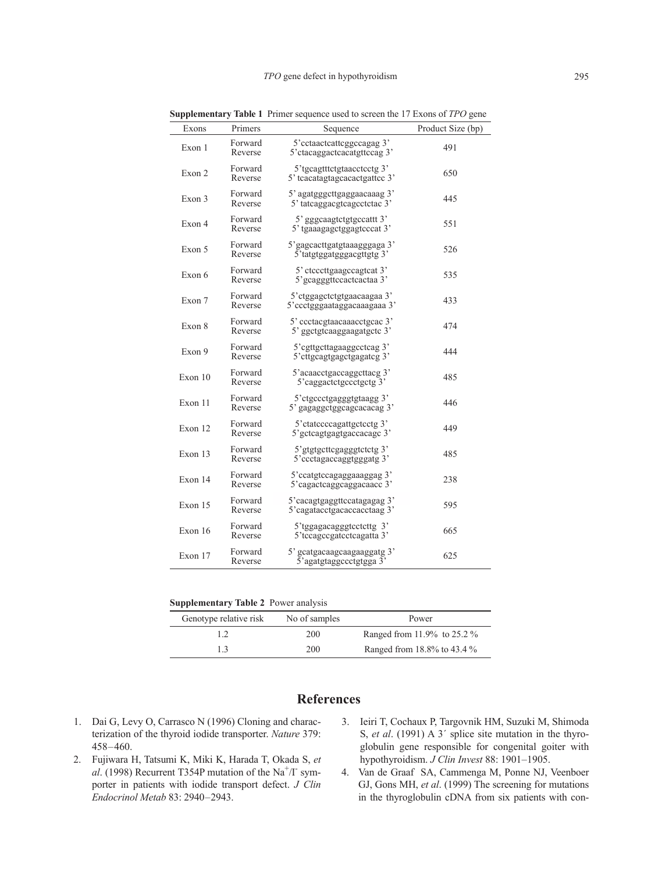| Exons   | Primers            | Sequence                                                    | Product Size (bp) |
|---------|--------------------|-------------------------------------------------------------|-------------------|
| Exon 1  | Forward<br>Reverse | 5'cctaactcattcggccagag 3'<br>5' ctacaggactcacatgttccag 3'   | 491               |
| Exon 2  | Forward<br>Reverse | 5'tgcagtttctgtaacctcctg 3'<br>5' teacatagtageacactgattee 3' | 650               |
| Exon 3  | Forward<br>Reverse | 5' agatgggcttgaggaacaaag 3'<br>5' tatcaggacgtcagcctctac 3'  | 445               |
| Exon 4  | Forward<br>Reverse | 5' gggcaagtctgtgccattt 3'<br>5' tgaaagagctggagtcccat 3'     | 551               |
| Exon 5  | Forward<br>Reverse | 5' gagcacttgatgtaaagggaga 3'<br>5' tatgtggatgggacgttgtg 3'  | 526               |
| Exon 6  | Forward<br>Reverse | 5' etcecttgaagecagteat 3'<br>5' gcagggttccactcactaa 3'      | 535               |
| Exon 7  | Forward<br>Reverse | 5'ctggagctctgtgaacaagaa 3'<br>5' ccctgggaataggacaaagaaa 3'  | 433               |
| Exon 8  | Forward<br>Reverse | 5' ccctacgtaacaaacctgcac 3'<br>5' ggctgtcaaggaagatgctc 3'   | 474               |
| Exon 9  | Forward<br>Reverse | 5' cgttgcttagaaggcctcag 3'<br>5' cttgcagtgagctgagatcg 3'    | 444               |
| Exon 10 | Forward<br>Reverse | 5'acaacctgaccaggcttacg 3'<br>5'caggactctgccctgctg 3'        | 485               |
| Exon 11 | Forward<br>Reverse | 5'ctgccctgagggtgtaagg 3'<br>5' gagaggctggcagcacacag 3'      | 446               |
| Exon 12 | Forward<br>Reverse | 5' ctatccccagattgctcctg 3'<br>5' gctcagtgagtgaccacage 3'    | 449               |
| Exon 13 | Forward<br>Reverse | 5'gtgtgcttcgagggtctctg 3'<br>5'ccctagaccaggtgggatg 3'       | 485               |
| Exon 14 | Forward<br>Reverse | 5'ccatgtccagaggaaaggag 3'<br>5'cagactcaggcaggacaacc 3'      | 238               |
| Exon 15 | Forward<br>Reverse | 5'cacagtgaggttccatagagag 3'<br>5'cagatacctgacaccacctaag 3'  | 595               |
| Exon 16 | Forward<br>Reverse | 5'tggagacagggtcctcttg 3'<br>5'tccagccgatcctcagatta 3'       | 665               |
| Exon 17 | Forward<br>Reverse | 5' gcatgacaagcaagaaggatg 3'<br>5'agatgtaggccctgtgga 3       | 625               |

**Supplementary Table 1** Primer sequence used to screen the 17 Exons of *TPO* gene

**Supplementary Table 2** Power analysis

| Genotype relative risk | No of samples | Power                       |
|------------------------|---------------|-----------------------------|
|                        | 200           | Ranged from 11.9% to 25.2 % |
| 13                     | 200           | Ranged from 18.8% to 43.4 % |

# **References**

- 1. Dai G, Levy O, Carrasco N (1996) Cloning and characterization of the thyroid iodide transporter. *Nature* 379: 458–460.
- 2. Fujiwara H, Tatsumi K, Miki K, Harada T, Okada S, *et*  al. (1998) Recurrent T354P mutation of the Na<sup>+</sup>/I<sup>-</sup> symporter in patients with iodide transport defect. *J Clin Endocrinol Metab* 83: 2940–2943.
- 3. Ieiri T, Cochaux P, Targovnik HM, Suzuki M, Shimoda S, *et al*. (1991) A 3´ splice site mutation in the thyroglobulin gene responsible for congenital goiter with hypothyroidism. *J Clin Invest* 88: 1901–1905.
- 4. Van de Graaf SA, Cammenga M, Ponne NJ, Veenboer GJ, Gons MH, *et al*. (1999) The screening for mutations in the thyroglobulin cDNA from six patients with con-